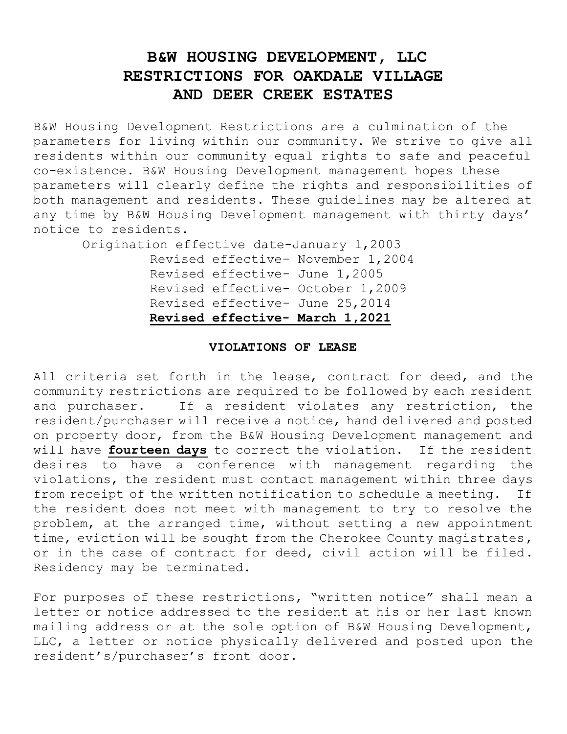# **B&W HOUSING DEVELOPMENT, LLC RESTRICTIONS FOR OAKDALE VILLAGE AND DEER CREEK ESTATES**

B&W Housing Development Restrictions are a culmination of the parameters for living within our community. We strive to give all residents within our community equal rights to safe and peaceful co-existence. B&W Housing Development management hopes these parameters will clearly define the rights and responsibilities of both management and residents. These guidelines may be altered at any time by B&W Housing Development management with thirty days' notice to residents.

 Origination effective date-January 1,2003 Revised effective- November 1,2004 Revised effective- June 1,2005 Revised effective- October 1,2009 Revised effective- June 25,2014  **Revised effective- March 1,2021**

# **VIOLATIONS OF LEASE**

All criteria set forth in the lease, contract for deed, and the community restrictions are required to be followed by each resident and purchaser. If a resident violates any restriction, the resident/purchaser will receive a notice, hand delivered and posted on property door, from the B&W Housing Development management and will have **fourteen days** to correct the violation. If the resident desires to have a conference with management regarding the violations, the resident must contact management within three days from receipt of the written notification to schedule a meeting. If the resident does not meet with management to try to resolve the problem, at the arranged time, without setting a new appointment time, eviction will be sought from the Cherokee County magistrates, or in the case of contract for deed, civil action will be filed. Residency may be terminated.

For purposes of these restrictions, "written notice" shall mean a letter or notice addressed to the resident at his or her last known mailing address or at the sole option of B&W Housing Development, LLC, a letter or notice physically delivered and posted upon the resident's/purchaser's front door.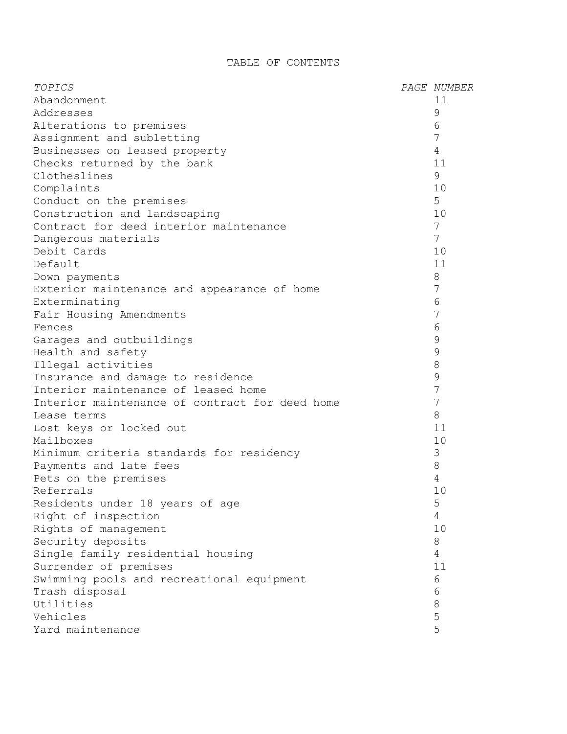# TABLE OF CONTENTS

| TOPICS                                         | PAGE NUMBER     |
|------------------------------------------------|-----------------|
| Abandonment                                    | 11              |
| Addresses                                      | $\mathcal{G}$   |
| Alterations to premises                        | 6               |
| Assignment and subletting                      | 7               |
| Businesses on leased property                  | $\overline{4}$  |
| Checks returned by the bank                    | 11              |
| Clotheslines                                   | 9               |
| Complaints                                     | 10              |
| Conduct on the premises                        | 5               |
| Construction and landscaping                   | 10              |
| Contract for deed interior maintenance         | 7               |
| Dangerous materials                            | $7\phantom{.0}$ |
| Debit Cards                                    | 10              |
| Default                                        | 11              |
| Down payments                                  | 8               |
| Exterior maintenance and appearance of home    | 7               |
| Exterminating                                  | 6               |
| Fair Housing Amendments                        | 7               |
| Fences                                         | $6\phantom{1}6$ |
| Garages and outbuildings                       | $\mathcal{G}$   |
| Health and safety                              | $\mathcal{G}$   |
| Illegal activities                             | $\,8\,$         |
| Insurance and damage to residence              | 9               |
| Interior maintenance of leased home            | 7               |
| Interior maintenance of contract for deed home | 7               |
| Lease terms                                    | 8               |
| Lost keys or locked out                        | 11              |
| Mailboxes                                      | 10              |
| Minimum criteria standards for residency       | 3               |
| Payments and late fees                         | $\,8\,$         |
| Pets on the premises                           | $\overline{4}$  |
| Referrals                                      | 10              |
| Residents under 18 years of age                | 5               |
| Right of inspection                            | $\overline{4}$  |
| Rights of management                           | 10              |
| Security deposits                              | 8               |
| Single family residential housing              | $\overline{4}$  |
| Surrender of premises                          | 11              |
| Swimming pools and recreational equipment      | 6               |
| Trash disposal                                 | 6               |
| Utilities                                      | $\,8\,$         |
| Vehicles                                       | 5               |
| Yard maintenance                               | 5               |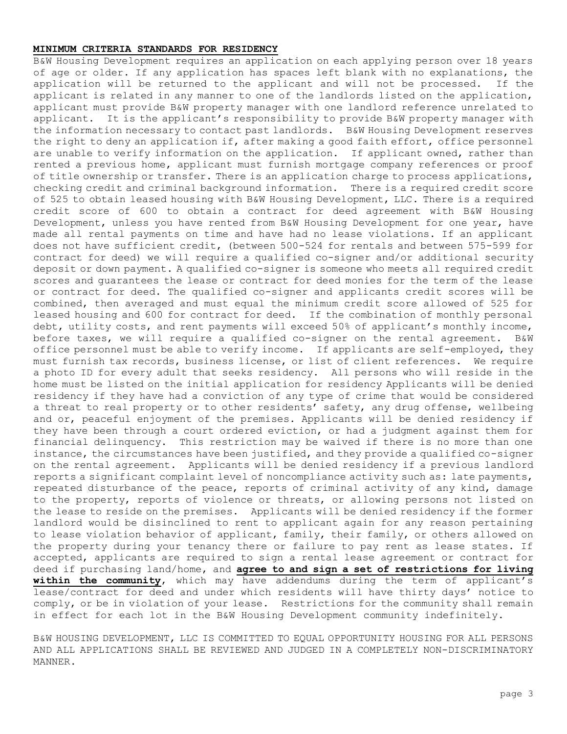### **MINIMUM CRITERIA STANDARDS FOR RESIDENCY**

B&W Housing Development requires an application on each applying person over 18 years of age or older. If any application has spaces left blank with no explanations, the application will be returned to the applicant and will not be processed. If the applicant is related in any manner to one of the landlords listed on the application, applicant must provide B&W property manager with one landlord reference unrelated to applicant. It is the applicant's responsibility to provide B&W property manager with the information necessary to contact past landlords. B&W Housing Development reserves the right to deny an application if, after making a good faith effort, office personnel are unable to verify information on the application. If applicant owned, rather than rented a previous home, applicant must furnish mortgage company references or proof of title ownership or transfer. There is an application charge to process applications, checking credit and criminal background information. There is a required credit score of 525 to obtain leased housing with B&W Housing Development, LLC. There is a required credit score of 600 to obtain a contract for deed agreement with B&W Housing Development, unless you have rented from B&W Housing Development for one year, have made all rental payments on time and have had no lease violations. If an applicant does not have sufficient credit, (between 500-524 for rentals and between 575-599 for contract for deed) we will require a qualified co-signer and/or additional security deposit or down payment. A qualified co-signer is someone who meets all required credit scores and guarantees the lease or contract for deed monies for the term of the lease or contract for deed. The qualified co-signer and applicants credit scores will be combined, then averaged and must equal the minimum credit score allowed of 525 for leased housing and 600 for contract for deed. If the combination of monthly personal debt, utility costs, and rent payments will exceed 50% of applicant's monthly income, before taxes, we will require a qualified co-signer on the rental agreement. B&W office personnel must be able to verify income. If applicants are self-employed, they must furnish tax records, business license, or list of client references. We require a photo ID for every adult that seeks residency. All persons who will reside in the home must be listed on the initial application for residency Applicants will be denied residency if they have had a conviction of any type of crime that would be considered a threat to real property or to other residents' safety, any drug offense, wellbeing and or, peaceful enjoyment of the premises. Applicants will be denied residency if they have been through a court ordered eviction, or had a judgment against them for financial delinquency. This restriction may be waived if there is no more than one instance, the circumstances have been justified, and they provide a qualified co-signer on the rental agreement. Applicants will be denied residency if a previous landlord reports a significant complaint level of noncompliance activity such as: late payments, repeated disturbance of the peace, reports of criminal activity of any kind, damage to the property, reports of violence or threats, or allowing persons not listed on the lease to reside on the premises. Applicants will be denied residency if the former landlord would be disinclined to rent to applicant again for any reason pertaining to lease violation behavior of applicant, family, their family, or others allowed on the property during your tenancy there or failure to pay rent as lease states. If accepted, applicants are required to sign a rental lease agreement or contract for deed if purchasing land/home, and **agree to and sign a set of restrictions for living within the community**, which may have addendums during the term of applicant's lease/contract for deed and under which residents will have thirty days' notice to comply, or be in violation of your lease. Restrictions for the community shall remain in effect for each lot in the B&W Housing Development community indefinitely.

B&W HOUSING DEVELOPMENT, LLC IS COMMITTED TO EQUAL OPPORTUNITY HOUSING FOR ALL PERSONS AND ALL APPLICATIONS SHALL BE REVIEWED AND JUDGED IN A COMPLETELY NON-DISCRIMINATORY MANNER.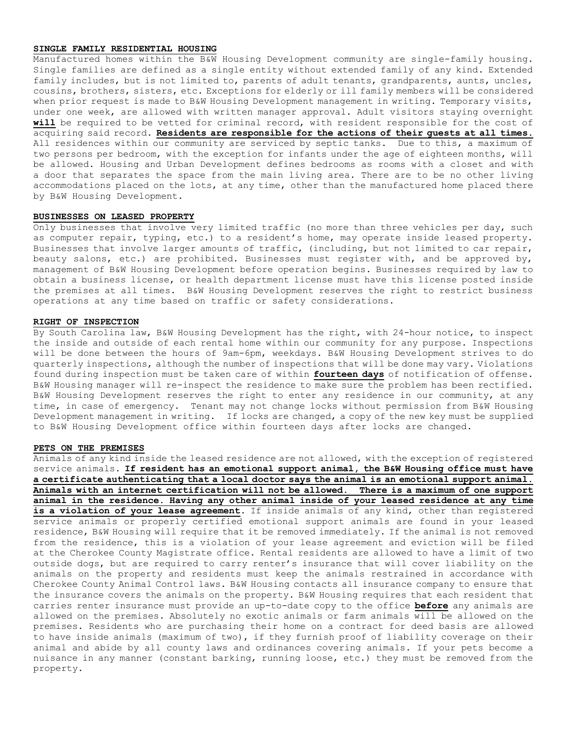### **SINGLE FAMILY RESIDENTIAL HOUSING**

Manufactured homes within the B&W Housing Development community are single-family housing. Single families are defined as a single entity without extended family of any kind. Extended family includes, but is not limited to, parents of adult tenants, grandparents, aunts, uncles, cousins, brothers, sisters, etc. Exceptions for elderly or ill family members will be considered when prior request is made to B&W Housing Development management in writing. Temporary visits, under one week, are allowed with written manager approval. Adult visitors staying overnight **will** be required to be vetted for criminal record, with resident responsible for the cost of acquiring said record. **Residents are responsible for the actions of their guests at all times.** All residences within our community are serviced by septic tanks. Due to this, a maximum of two persons per bedroom, with the exception for infants under the age of eighteen months, will be allowed. Housing and Urban Development defines bedrooms as rooms with a closet and with a door that separates the space from the main living area. There are to be no other living accommodations placed on the lots, at any time, other than the manufactured home placed there by B&W Housing Development.

### **BUSINESSES ON LEASED PROPERTY**

Only businesses that involve very limited traffic (no more than three vehicles per day, such as computer repair, typing, etc.) to a resident's home, may operate inside leased property. Businesses that involve larger amounts of traffic, (including, but not limited to car repair, beauty salons, etc.) are prohibited. Businesses must register with, and be approved by, management of B&W Housing Development before operation begins. Businesses required by law to obtain a business license, or health department license must have this license posted inside the premises at all times. B&W Housing Development reserves the right to restrict business operations at any time based on traffic or safety considerations.

### **RIGHT OF INSPECTION**

By South Carolina law, B&W Housing Development has the right, with 24-hour notice, to inspect the inside and outside of each rental home within our community for any purpose. Inspections will be done between the hours of 9am-6pm, weekdays. B&W Housing Development strives to do quarterly inspections, although the number of inspections that will be done may vary. Violations found during inspection must be taken care of within **fourteen days** of notification of offense. B&W Housing manager will re-inspect the residence to make sure the problem has been rectified. B&W Housing Development reserves the right to enter any residence in our community, at any time, in case of emergency. Tenant may not change locks without permission from B&W Housing Development management in writing. If locks are changed, a copy of the new key must be supplied to B&W Housing Development office within fourteen days after locks are changed.

### **PETS ON THE PREMISES**

Animals of any kind inside the leased residence are not allowed, with the exception of registered service animals. **If resident has an emotional support animal, the B&W Housing office must have a certificate authenticating that a local doctor says the animal is an emotional support animal. Animals with an internet certification will not be allowed. There is a maximum of one support animal in the residence. Having any other animal inside of your leased residence at any time is a violation of your lease agreement**. If inside animals of any kind, other than registered service animals or properly certified emotional support animals are found in your leased residence, B&W Housing will require that it be removed immediately. If the animal is not removed from the residence, this is a violation of your lease agreement and eviction will be filed at the Cherokee County Magistrate office. Rental residents are allowed to have a limit of two outside dogs, but are required to carry renter's insurance that will cover liability on the animals on the property and residents must keep the animals restrained in accordance with Cherokee County Animal Control laws. B&W Housing contacts all insurance company to ensure that the insurance covers the animals on the property. B&W Housing requires that each resident that carries renter insurance must provide an up-to-date copy to the office **before** any animals are allowed on the premises. Absolutely no exotic animals or farm animals will be allowed on the premises. Residents who are purchasing their home on a contract for deed basis are allowed to have inside animals (maximum of two), if they furnish proof of liability coverage on their animal and abide by all county laws and ordinances covering animals. If your pets become a nuisance in any manner (constant barking, running loose, etc.) they must be removed from the property.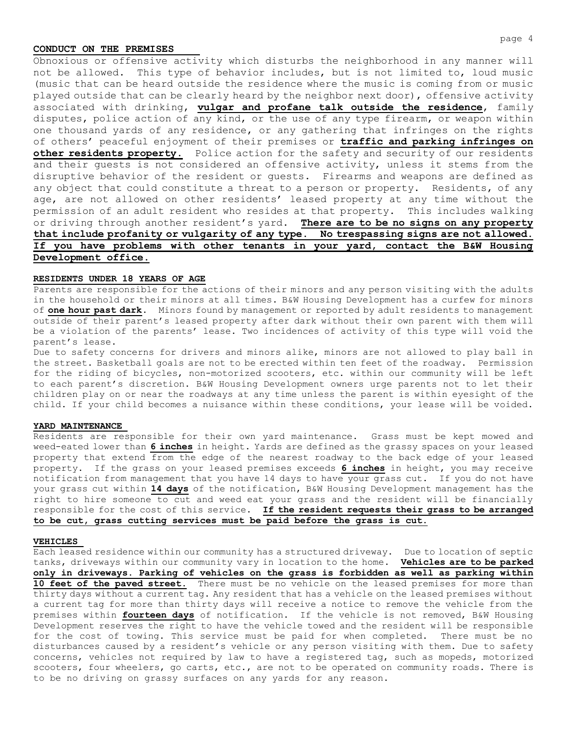### **CONDUCT ON THE PREMISES**

Obnoxious or offensive activity which disturbs the neighborhood in any manner will not be allowed. This type of behavior includes, but is not limited to, loud music (music that can be heard outside the residence where the music is coming from or music played outside that can be clearly heard by the neighbor next door), offensive activity associated with drinking, **vulgar and profane talk outside the residence**, family disputes, police action of any kind, or the use of any type firearm, or weapon within one thousand yards of any residence, or any gathering that infringes on the rights of others' peaceful enjoyment of their premises or **traffic and parking infringes on other residents property.** Police action for the safety and security of our residents and their guests is not considered an offensive activity, unless it stems from the disruptive behavior of the resident or guests. Firearms and weapons are defined as any object that could constitute a threat to a person or property. Residents, of any age, are not allowed on other residents' leased property at any time without the permission of an adult resident who resides at that property. This includes walking or driving through another resident's yard. **There are to be no signs on any property that include profanity or vulgarity of any type. No trespassing signs are not allowed. If you have problems with other tenants in your yard, contact the B&W Housing Development office.**

# **RESIDENTS UNDER 18 YEARS OF AGE**

Parents are responsible for the actions of their minors and any person visiting with the adults in the household or their minors at all times. B&W Housing Development has a curfew for minors of **one hour past dark**. Minors found by management or reported by adult residents to management outside of their parent's leased property after dark without their own parent with them will be a violation of the parents' lease. Two incidences of activity of this type will void the parent's lease.

Due to safety concerns for drivers and minors alike, minors are not allowed to play ball in the street. Basketball goals are not to be erected within ten feet of the roadway. Permission for the riding of bicycles, non-motorized scooters, etc. within our community will be left to each parent's discretion. B&W Housing Development owners urge parents not to let their children play on or near the roadways at any time unless the parent is within eyesight of the child. If your child becomes a nuisance within these conditions, your lease will be voided.

### **YARD MAINTENANCE**

Residents are responsible for their own yard maintenance. Grass must be kept mowed and weed-eated lower than **6 inches** in height. Yards are defined as the grassy spaces on your leased property that extend from the edge of the nearest roadway to the back edge of your leased property. If the grass on your leased premises exceeds **6 inches** in height, you may receive notification from management that you have 14 days to have your grass cut. If you do not have your grass cut within **14 days** of the notification, B&W Housing Development management has the right to hire someone to cut and weed eat your grass and the resident will be financially responsible for the cost of this service. **If the resident requests their grass to be arranged to be cut, grass cutting services must be paid before the grass is cut.**

#### **VEHICLES**

Each leased residence within our community has a structured driveway. Due to location of septic tanks, driveways within our community vary in location to the home. **Vehicles are to be parked only in driveways. Parking of vehicles on the grass is forbidden as well as parking within**  10 feet of the paved street. There must be no vehicle on the leased premises for more than thirty days without a current tag. Any resident that has a vehicle on the leased premises without a current tag for more than thirty days will receive a notice to remove the vehicle from the premises within **fourteen days** of notification. If the vehicle is not removed, B&W Housing Development reserves the right to have the vehicle towed and the resident will be responsible for the cost of towing. This service must be paid for when completed. There must be no disturbances caused by a resident's vehicle or any person visiting with them. Due to safety concerns, vehicles not required by law to have a registered tag, such as mopeds, motorized scooters, four wheelers, go carts, etc., are not to be operated on community roads. There is to be no driving on grassy surfaces on any yards for any reason.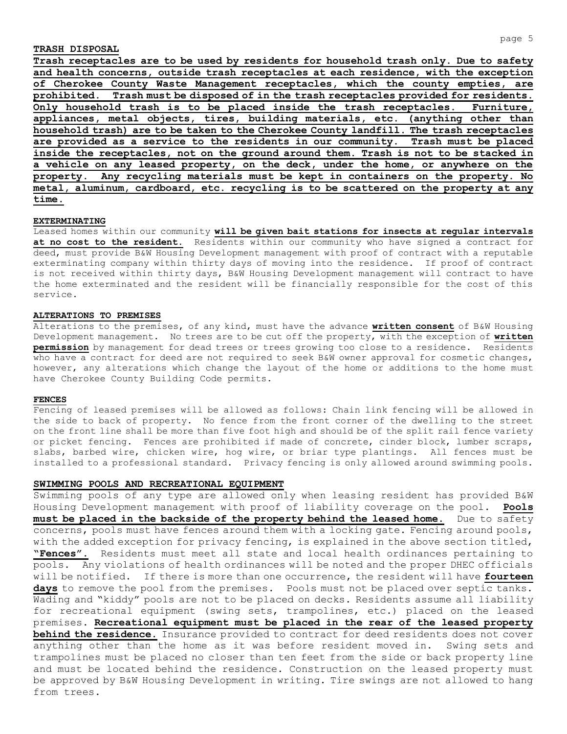### **TRASH DISPOSAL**

**Trash receptacles are to be used by residents for household trash only. Due to safety and health concerns, outside trash receptacles at each residence, with the exception of Cherokee County Waste Management receptacles, which the county empties, are prohibited. Trash must be disposed of in the trash receptacles provided for residents. Only household trash is to be placed inside the trash receptacles. Furniture, appliances, metal objects, tires, building materials, etc. (anything other than household trash) are to be taken to the Cherokee County landfill. The trash receptacles are provided as a service to the residents in our community. Trash must be placed inside the receptacles, not on the ground around them. Trash is not to be stacked in a vehicle on any leased property, on the deck, under the home, or anywhere on the property. Any recycling materials must be kept in containers on the property. No metal, aluminum, cardboard, etc. recycling is to be scattered on the property at any time.**

### **EXTERMINATING**

Leased homes within our community **will be given bait stations for insects at regular intervals at no cost to the resident.** Residents within our community who have signed a contract for deed, must provide B&W Housing Development management with proof of contract with a reputable exterminating company within thirty days of moving into the residence. If proof of contract is not received within thirty days, B&W Housing Development management will contract to have the home exterminated and the resident will be financially responsible for the cost of this service.

### **ALTERATIONS TO PREMISES**

Alterations to the premises, of any kind, must have the advance **written consent** of B&W Housing Development management. No trees are to be cut off the property, with the exception of **written permission** by management for dead trees or trees growing too close to a residence. Residents who have a contract for deed are not required to seek B&W owner approval for cosmetic changes, however, any alterations which change the layout of the home or additions to the home must have Cherokee County Building Code permits.

#### **FENCES**

Fencing of leased premises will be allowed as follows: Chain link fencing will be allowed in the side to back of property. No fence from the front corner of the dwelling to the street on the front line shall be more than five foot high and should be of the split rail fence variety or picket fencing. Fences are prohibited if made of concrete, cinder block, lumber scraps, slabs, barbed wire, chicken wire, hog wire, or briar type plantings. All fences must be installed to a professional standard. Privacy fencing is only allowed around swimming pools.

### **SWIMMING POOLS AND RECREATIONAL EQUIPMENT**

Swimming pools of any type are allowed only when leasing resident has provided B&W Housing Development management with proof of liability coverage on the pool. **Pools must be placed in the backside of the property behind the leased home.** Due to safety concerns, pools must have fences around them with a locking gate. Fencing around pools, with the added exception for privacy fencing, is explained in the above section titled, **"Fences".** Residents must meet all state and local health ordinances pertaining to pools. Any violations of health ordinances will be noted and the proper DHEC officials will be notified. If there is more than one occurrence, the resident will have **fourteen days** to remove the pool from the premises. Pools must not be placed over septic tanks. Wading and "kiddy" pools are not to be placed on decks. Residents assume all liability for recreational equipment (swing sets, trampolines, etc.) placed on the leased premises. **Recreational equipment must be placed in the rear of the leased property behind the residence.** Insurance provided to contract for deed residents does not cover anything other than the home as it was before resident moved in. Swing sets and trampolines must be placed no closer than ten feet from the side or back property line and must be located behind the residence. Construction on the leased property must be approved by B&W Housing Development in writing. Tire swings are not allowed to hang from trees.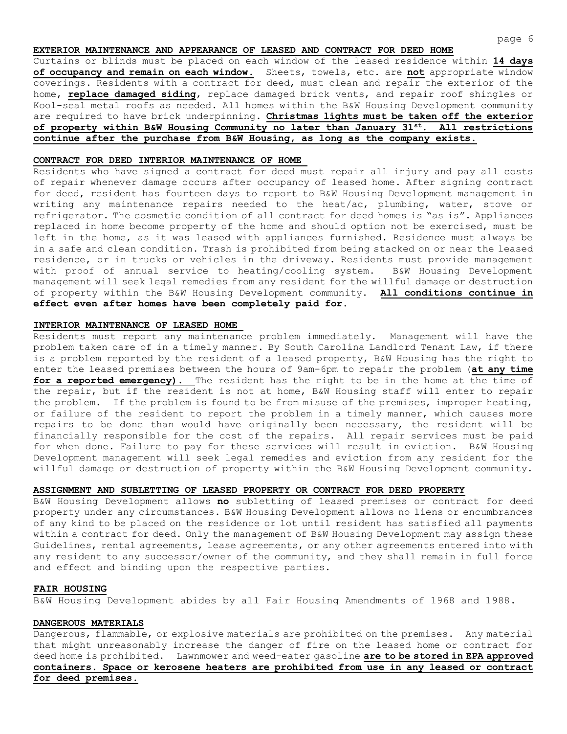# **EXTERIOR MAINTENANCE AND APPEARANCE OF LEASED AND CONTRACT FOR DEED HOME**

Curtains or blinds must be placed on each window of the leased residence within **14 days of occupancy and remain on each window.** Sheets, towels, etc. are **not** appropriate window coverings. Residents with a contract for deed, must clean and repair the exterior of the home, **replace damaged siding**, replace damaged brick vents, and repair roof shingles or Kool-seal metal roofs as needed. All homes within the B&W Housing Development community are required to have brick underpinning. **Christmas lights must be taken off the exterior of property within B&W Housing Community no later than January 31st. All restrictions continue after the purchase from B&W Housing, as long as the company exists.**

### **CONTRACT FOR DEED INTERIOR MAINTENANCE OF HOME**

Residents who have signed a contract for deed must repair all injury and pay all costs of repair whenever damage occurs after occupancy of leased home. After signing contract for deed, resident has fourteen days to report to B&W Housing Development management in writing any maintenance repairs needed to the heat/ac, plumbing, water, stove or refrigerator. The cosmetic condition of all contract for deed homes is "as is". Appliances replaced in home become property of the home and should option not be exercised, must be left in the home, as it was leased with appliances furnished. Residence must always be in a safe and clean condition. Trash is prohibited from being stacked on or near the leased residence, or in trucks or vehicles in the driveway. Residents must provide management with proof of annual service to heating/cooling system. B&W Housing Development management will seek legal remedies from any resident for the willful damage or destruction of property within the B&W Housing Development community. **All conditions continue in effect even after homes have been completely paid for.**

### **INTERIOR MAINTENANCE OF LEASED HOME**

Residents must report any maintenance problem immediately. Management will have the problem taken care of in a timely manner. By South Carolina Landlord Tenant Law, if there is a problem reported by the resident of a leased property, B&W Housing has the right to enter the leased premises between the hours of 9am-6pm to repair the problem (**at any time for a reported emergency).** The resident has the right to be in the home at the time of the repair, but if the resident is not at home, B&W Housing staff will enter to repair the problem. If the problem is found to be from misuse of the premises, improper heating, or failure of the resident to report the problem in a timely manner, which causes more repairs to be done than would have originally been necessary, the resident will be financially responsible for the cost of the repairs. All repair services must be paid for when done. Failure to pay for these services will result in eviction. B&W Housing Development management will seek legal remedies and eviction from any resident for the willful damage or destruction of property within the B&W Housing Development community.

### **ASSIGNMENT AND SUBLETTING OF LEASED PROPERTY OR CONTRACT FOR DEED PROPERTY**

B&W Housing Development allows **no** subletting of leased premises or contract for deed property under any circumstances. B&W Housing Development allows no liens or encumbrances of any kind to be placed on the residence or lot until resident has satisfied all payments within a contract for deed. Only the management of B&W Housing Development may assign these Guidelines, rental agreements, lease agreements, or any other agreements entered into with any resident to any successor/owner of the community, and they shall remain in full force and effect and binding upon the respective parties.

### **FAIR HOUSING**

B&W Housing Development abides by all Fair Housing Amendments of 1968 and 1988.

### **DANGEROUS MATERIALS**

Dangerous, flammable, or explosive materials are prohibited on the premises. Any material that might unreasonably increase the danger of fire on the leased home or contract for deed home is prohibited. Lawnmower and weed-eater gasoline **are to be stored in EPA approved containers. Space or kerosene heaters are prohibited from use in any leased or contract for deed premises.**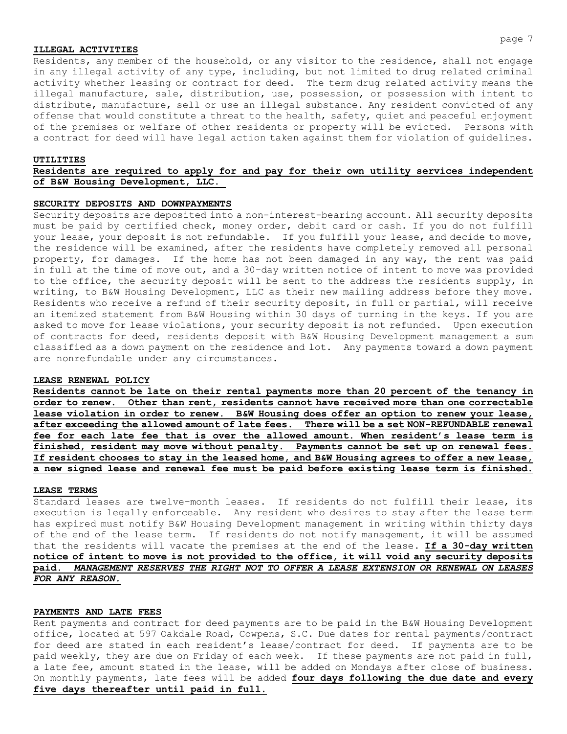### **ILLEGAL ACTIVITIES**

Residents, any member of the household, or any visitor to the residence, shall not engage in any illegal activity of any type, including, but not limited to drug related criminal activity whether leasing or contract for deed. The term drug related activity means the illegal manufacture, sale, distribution, use, possession, or possession with intent to distribute, manufacture, sell or use an illegal substance. Any resident convicted of any offense that would constitute a threat to the health, safety, quiet and peaceful enjoyment of the premises or welfare of other residents or property will be evicted. Persons with a contract for deed will have legal action taken against them for violation of guidelines.

#### **UTILITIES**

# **Residents are required to apply for and pay for their own utility services independent of B&W Housing Development, LLC.**

# **SECURITY DEPOSITS AND DOWNPAYMENTS**

Security deposits are deposited into a non-interest-bearing account. All security deposits must be paid by certified check, money order, debit card or cash. If you do not fulfill your lease, your deposit is not refundable. If you fulfill your lease, and decide to move, the residence will be examined, after the residents have completely removed all personal property, for damages. If the home has not been damaged in any way, the rent was paid in full at the time of move out, and a 30-day written notice of intent to move was provided to the office, the security deposit will be sent to the address the residents supply, in writing, to B&W Housing Development, LLC as their new mailing address before they move. Residents who receive a refund of their security deposit, in full or partial, will receive an itemized statement from B&W Housing within 30 days of turning in the keys. If you are asked to move for lease violations, your security deposit is not refunded. Upon execution of contracts for deed, residents deposit with B&W Housing Development management a sum classified as a down payment on the residence and lot. Any payments toward a down payment are nonrefundable under any circumstances.

### **LEASE RENEWAL POLICY**

**Residents cannot be late on their rental payments more than 20 percent of the tenancy in order to renew. Other than rent, residents cannot have received more than one correctable lease violation in order to renew. B&W Housing does offer an option to renew your lease, after exceeding the allowed amount of late fees. There will be a set NON-REFUNDABLE renewal fee for each late fee that is over the allowed amount. When resident's lease term is finished, resident may move without penalty. Payments cannot be set up on renewal fees. If resident chooses to stay in the leased home, and B&W Housing agrees to offer a new lease, a new signed lease and renewal fee must be paid before existing lease term is finished.**

#### **LEASE TERMS**

Standard leases are twelve-month leases. If residents do not fulfill their lease, its execution is legally enforceable. Any resident who desires to stay after the lease term has expired must notify B&W Housing Development management in writing within thirty days of the end of the lease term. If residents do not notify management, it will be assumed that the residents will vacate the premises at the end of the lease. **If a 30-day written notice of intent to move is not provided to the office, it will void any security deposits paid.** *MANAGEMENT RESERVES THE RIGHT NOT TO OFFER A LEASE EXTENSION OR RENEWAL ON LEASES FOR ANY REASON.*

### **PAYMENTS AND LATE FEES**

Rent payments and contract for deed payments are to be paid in the B&W Housing Development office, located at 597 Oakdale Road, Cowpens, S.C. Due dates for rental payments/contract for deed are stated in each resident's lease/contract for deed. If payments are to be paid weekly, they are due on Friday of each week. If these payments are not paid in full, a late fee, amount stated in the lease, will be added on Mondays after close of business. On monthly payments, late fees will be added **four days following the due date and every five days thereafter until paid in full.**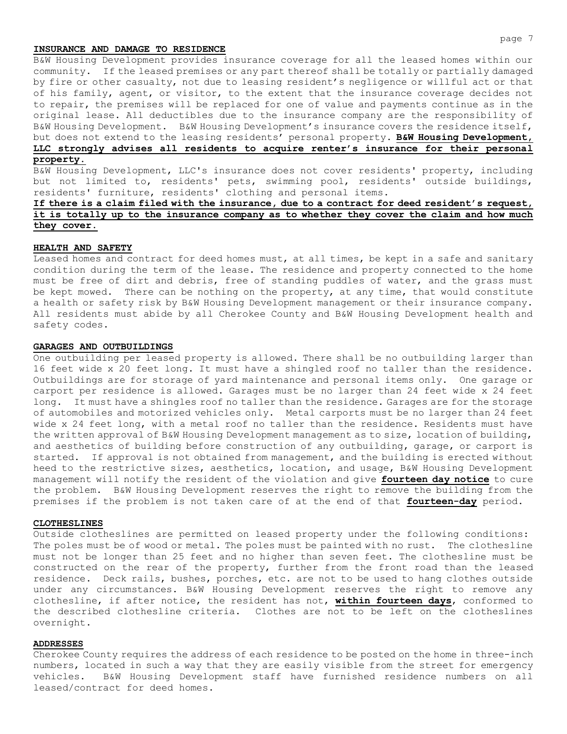### **INSURANCE AND DAMAGE TO RESIDENCE**

B&W Housing Development provides insurance coverage for all the leased homes within our community. If the leased premises or any part thereof shall be totally or partially damaged by fire or other casualty, not due to leasing resident's negligence or willful act or that of his family, agent, or visitor, to the extent that the insurance coverage decides not to repair, the premises will be replaced for one of value and payments continue as in the original lease. All deductibles due to the insurance company are the responsibility of B&W Housing Development. B&W Housing Development's insurance covers the residence itself, but does not extend to the leasing residents' personal property. **B&W Housing Development, LLC strongly advises all residents to acquire renter's insurance for their personal** 

#### **property.**

B&W Housing Development, LLC's insurance does not cover residents' property, including but not limited to, residents' pets, swimming pool, residents' outside buildings, residents' furniture, residents' clothing and personal items.

# **If there is a claim filed with the insurance, due to a contract for deed resident's request, it is totally up to the insurance company as to whether they cover the claim and how much they cover.**

### **HEALTH AND SAFETY**

Leased homes and contract for deed homes must, at all times, be kept in a safe and sanitary condition during the term of the lease. The residence and property connected to the home must be free of dirt and debris, free of standing puddles of water, and the grass must be kept mowed. There can be nothing on the property, at any time, that would constitute a health or safety risk by B&W Housing Development management or their insurance company. All residents must abide by all Cherokee County and B&W Housing Development health and safety codes.

### **GARAGES AND OUTBUILDINGS**

One outbuilding per leased property is allowed. There shall be no outbuilding larger than 16 feet wide x 20 feet long. It must have a shingled roof no taller than the residence. Outbuildings are for storage of yard maintenance and personal items only. One garage or carport per residence is allowed. Garages must be no larger than 24 feet wide x 24 feet long. It must have a shingles roof no taller than the residence. Garages are for the storage of automobiles and motorized vehicles only. Metal carports must be no larger than 24 feet wide x 24 feet long, with a metal roof no taller than the residence. Residents must have the written approval of B&W Housing Development management as to size, location of building, and aesthetics of building before construction of any outbuilding, garage, or carport is started. If approval is not obtained from management, and the building is erected without heed to the restrictive sizes, aesthetics, location, and usage, B&W Housing Development management will notify the resident of the violation and give **fourteen day notice** to cure the problem. B&W Housing Development reserves the right to remove the building from the premises if the problem is not taken care of at the end of that **fourteen-day** period.

### **CLOTHESLINES**

Outside clotheslines are permitted on leased property under the following conditions: The poles must be of wood or metal. The poles must be painted with no rust. The clothesline must not be longer than 25 feet and no higher than seven feet. The clothesline must be constructed on the rear of the property, further from the front road than the leased residence. Deck rails, bushes, porches, etc. are not to be used to hang clothes outside under any circumstances. B&W Housing Development reserves the right to remove any clothesline, if after notice, the resident has not, **within fourteen days**, conformed to the described clothesline criteria. Clothes are not to be left on the clotheslines overnight.

#### **ADDRESSES**

Cherokee County requires the address of each residence to be posted on the home in three-inch numbers, located in such a way that they are easily visible from the street for emergency vehicles. B&W Housing Development staff have furnished residence numbers on all leased/contract for deed homes.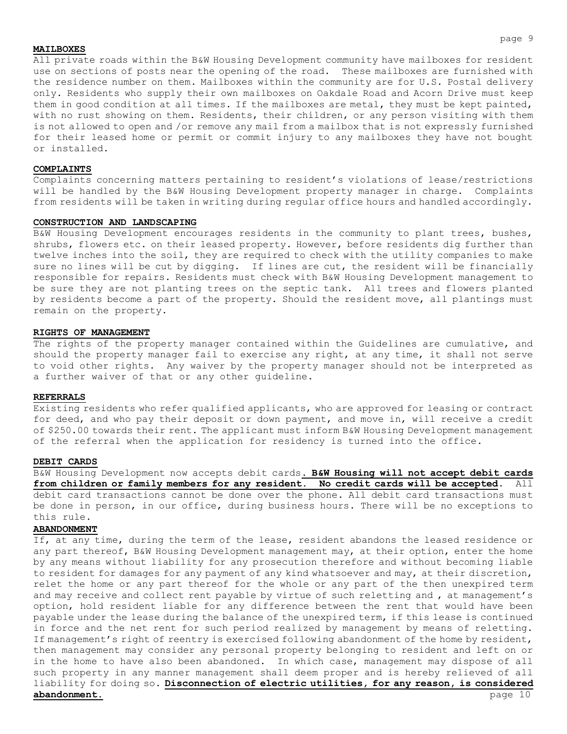### **MAILBOXES**

All private roads within the B&W Housing Development community have mailboxes for resident use on sections of posts near the opening of the road. These mailboxes are furnished with the residence number on them. Mailboxes within the community are for U.S. Postal delivery only. Residents who supply their own mailboxes on Oakdale Road and Acorn Drive must keep them in good condition at all times. If the mailboxes are metal, they must be kept painted, with no rust showing on them. Residents, their children, or any person visiting with them is not allowed to open and /or remove any mail from a mailbox that is not expressly furnished for their leased home or permit or commit injury to any mailboxes they have not bought or installed.

### **COMPLAINTS**

Complaints concerning matters pertaining to resident's violations of lease/restrictions will be handled by the B&W Housing Development property manager in charge. Complaints from residents will be taken in writing during regular office hours and handled accordingly.

#### **CONSTRUCTION AND LANDSCAPING**

B&W Housing Development encourages residents in the community to plant trees, bushes, shrubs, flowers etc. on their leased property. However, before residents dig further than twelve inches into the soil, they are required to check with the utility companies to make sure no lines will be cut by digging. If lines are cut, the resident will be financially responsible for repairs. Residents must check with B&W Housing Development management to be sure they are not planting trees on the septic tank. All trees and flowers planted by residents become a part of the property. Should the resident move, all plantings must remain on the property.

### **RIGHTS OF MANAGEMENT**

The rights of the property manager contained within the Guidelines are cumulative, and should the property manager fail to exercise any right, at any time, it shall not serve to void other rights. Any waiver by the property manager should not be interpreted as a further waiver of that or any other guideline.

#### **REFERRALS**

Existing residents who refer qualified applicants, who are approved for leasing or contract for deed, and who pay their deposit or down payment, and move in, will receive a credit of \$250.00 towards their rent. The applicant must inform B&W Housing Development management of the referral when the application for residency is turned into the office.

#### **DEBIT CARDS**

B&W Housing Development now accepts debit cards**. B&W Housing will not accept debit cards from children or family members for any resident. No credit cards will be accepted**. All debit card transactions cannot be done over the phone. All debit card transactions must be done in person, in our office, during business hours. There will be no exceptions to this rule.

### **ABANDONMENT**

If, at any time, during the term of the lease, resident abandons the leased residence or any part thereof, B&W Housing Development management may, at their option, enter the home by any means without liability for any prosecution therefore and without becoming liable to resident for damages for any payment of any kind whatsoever and may, at their discretion, relet the home or any part thereof for the whole or any part of the then unexpired term and may receive and collect rent payable by virtue of such reletting and , at management's option, hold resident liable for any difference between the rent that would have been payable under the lease during the balance of the unexpired term, if this lease is continued in force and the net rent for such period realized by management by means of reletting. If management's right of reentry is exercised following abandonment of the home by resident, then management may consider any personal property belonging to resident and left on or in the home to have also been abandoned. In which case, management may dispose of all such property in any manner management shall deem proper and is hereby relieved of all liability for doing so. **Disconnection of electric utilities, for any reason, is considered abandonment.** page 10